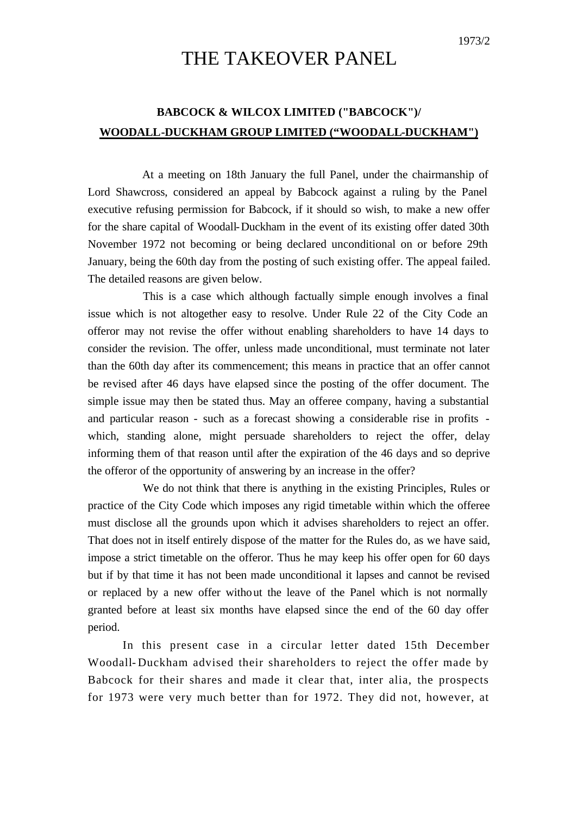## 1973/2

## THE TAKEOVER PANEL

## **BABCOCK & WILCOX LIMITED ("BABCOCK")/ WOODALL-DUCKHAM GROUP LIMITED ("WOODALL-DUCKHAM")**

At a meeting on 18th January the full Panel, under the chairmanship of Lord Shawcross, considered an appeal by Babcock against a ruling by the Panel executive refusing permission for Babcock, if it should so wish, to make a new offer for the share capital of Woodall-Duckham in the event of its existing offer dated 30th November 1972 not becoming or being declared unconditional on or before 29th January, being the 60th day from the posting of such existing offer. The appeal failed. The detailed reasons are given below.

This is a case which although factually simple enough involves a final issue which is not altogether easy to resolve. Under Rule 22 of the City Code an offeror may not revise the offer without enabling shareholders to have 14 days to consider the revision. The offer, unless made unconditional, must terminate not later than the 60th day after its commencement; this means in practice that an offer cannot be revised after 46 days have elapsed since the posting of the offer document. The simple issue may then be stated thus. May an offeree company, having a substantial and particular reason - such as a forecast showing a considerable rise in profits which, standing alone, might persuade shareholders to reject the offer, delay informing them of that reason until after the expiration of the 46 days and so deprive the offeror of the opportunity of answering by an increase in the offer?

We do not think that there is anything in the existing Principles, Rules or practice of the City Code which imposes any rigid timetable within which the offeree must disclose all the grounds upon which it advises shareholders to reject an offer. That does not in itself entirely dispose of the matter for the Rules do, as we have said, impose a strict timetable on the offeror. Thus he may keep his offer open for 60 days but if by that time it has not been made unconditional it lapses and cannot be revised or replaced by a new offer without the leave of the Panel which is not normally granted before at least six months have elapsed since the end of the 60 day offer period.

In this present case in a circular letter dated 15th December Woodall- Duckham advised their shareholders to reject the offer made by Babcock for their shares and made it clear that, inter alia, the prospects for 1973 were very much better than for 1972. They did not, however, at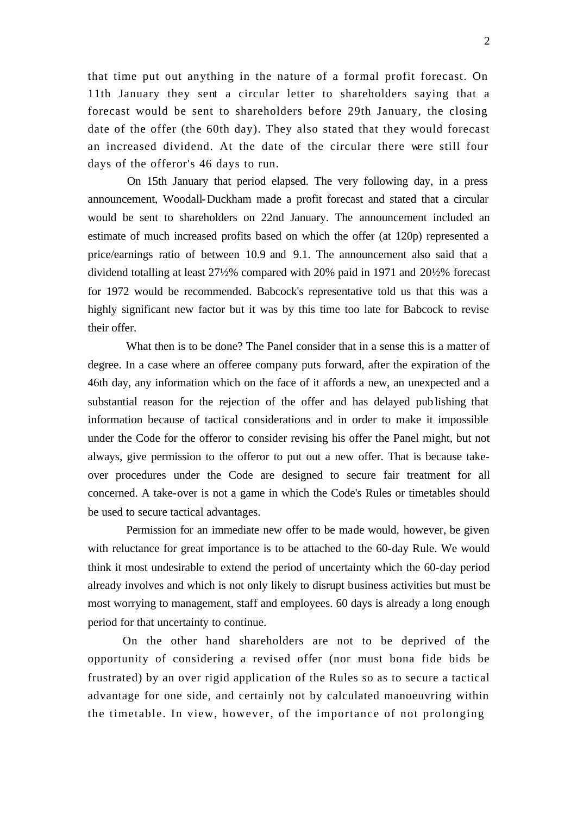that time put out anything in the nature of a formal profit forecast. On 11th January they sent a circular letter to shareholders saying that a forecast would be sent to shareholders before 29th January, the closing date of the offer (the 60th day). They also stated that they would forecast an increased dividend. At the date of the circular there were still four days of the offeror's 46 days to run.

On 15th January that period elapsed. The very following day, in a press announcement, Woodall-Duckham made a profit forecast and stated that a circular would be sent to shareholders on 22nd January. The announcement included an estimate of much increased profits based on which the offer (at 120p) represented a price/earnings ratio of between 10.9 and 9.1. The announcement also said that a dividend totalling at least 27½% compared with 20% paid in 1971 and 20½% forecast for 1972 would be recommended. Babcock's representative told us that this was a highly significant new factor but it was by this time too late for Babcock to revise their offer.

What then is to be done? The Panel consider that in a sense this is a matter of degree. In a case where an offeree company puts forward, after the expiration of the 46th day, any information which on the face of it affords a new, an unexpected and a substantial reason for the rejection of the offer and has delayed publishing that information because of tactical considerations and in order to make it impossible under the Code for the offeror to consider revising his offer the Panel might, but not always, give permission to the offeror to put out a new offer. That is because takeover procedures under the Code are designed to secure fair treatment for all concerned. A take-over is not a game in which the Code's Rules or timetables should be used to secure tactical advantages.

Permission for an immediate new offer to be made would, however, be given with reluctance for great importance is to be attached to the 60-day Rule. We would think it most undesirable to extend the period of uncertainty which the 60-day period already involves and which is not only likely to disrupt business activities but must be most worrying to management, staff and employees. 60 days is already a long enough period for that uncertainty to continue.

On the other hand shareholders are not to be deprived of the opportunity of considering a revised offer (nor must bona fide bids be frustrated) by an over rigid application of the Rules so as to secure a tactical advantage for one side, and certainly not by calculated manoeuvring within the timetable. In view, however, of the importance of not prolonging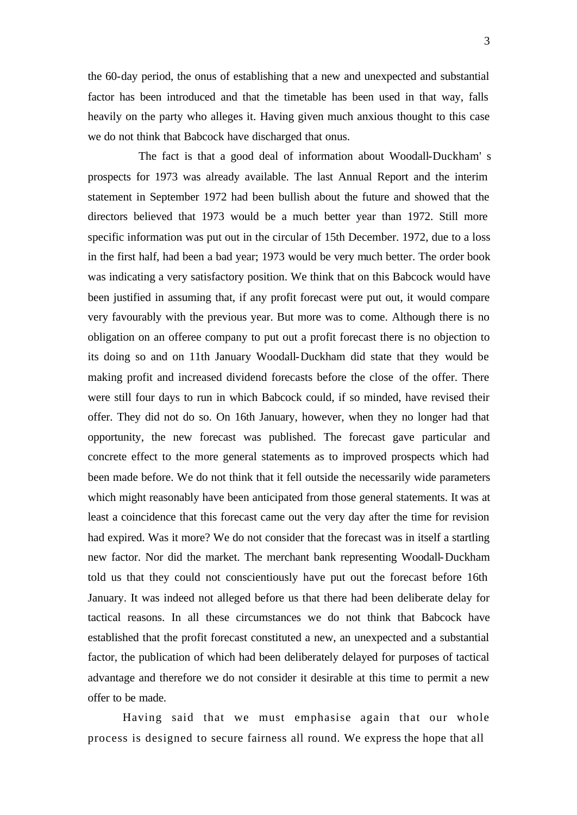the 60-day period, the onus of establishing that a new and unexpected and substantial factor has been introduced and that the timetable has been used in that way, falls heavily on the party who alleges it. Having given much anxious thought to this case we do not think that Babcock have discharged that onus.

The fact is that a good deal of information about Woodall-Duckham' s prospects for 1973 was already available. The last Annual Report and the interim statement in September 1972 had been bullish about the future and showed that the directors believed that 1973 would be a much better year than 1972. Still more specific information was put out in the circular of 15th December. 1972, due to a loss in the first half, had been a bad year; 1973 would be very much better. The order book was indicating a very satisfactory position. We think that on this Babcock would have been justified in assuming that, if any profit forecast were put out, it would compare very favourably with the previous year. But more was to come. Although there is no obligation on an offeree company to put out a profit forecast there is no objection to its doing so and on 11th January Woodall-Duckham did state that they would be making profit and increased dividend forecasts before the close of the offer. There were still four days to run in which Babcock could, if so minded, have revised their offer. They did not do so. On 16th January, however, when they no longer had that opportunity, the new forecast was published. The forecast gave particular and concrete effect to the more general statements as to improved prospects which had been made before. We do not think that it fell outside the necessarily wide parameters which might reasonably have been anticipated from those general statements. It was at least a coincidence that this forecast came out the very day after the time for revision had expired. Was it more? We do not consider that the forecast was in itself a startling new factor. Nor did the market. The merchant bank representing Woodall-Duckham told us that they could not conscientiously have put out the forecast before 16th January. It was indeed not alleged before us that there had been deliberate delay for tactical reasons. In all these circumstances we do not think that Babcock have established that the profit forecast constituted a new, an unexpected and a substantial factor, the publication of which had been deliberately delayed for purposes of tactical advantage and therefore we do not consider it desirable at this time to permit a new offer to be made.

Having said that we must emphasise again that our whole process is designed to secure fairness all round. We express the hope that all